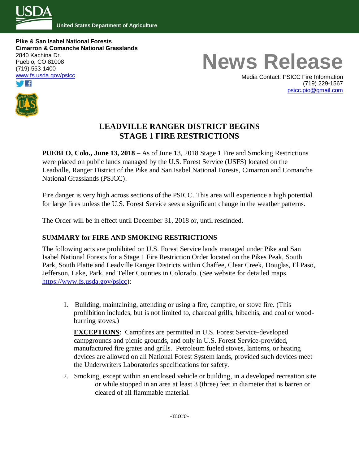

**United States Department of Agriculture**

**Pike & San Isabel National Forests Cimarron & Comanche National Grasslands** 2840 Kachina Dr. Pueblo, CO 81008 (719) 553-1400 www.fs.usda.gov/psicc



# **News Release**

Media Contact: PSICC Fire Information (719) 229-1567 [psicc.pio@gmail.com](mailto:psicc.pio@gmail.com)

# **LEADVILLE RANGER DISTRICT BEGINS STAGE 1 FIRE RESTRICTIONS**

**PUEBLO, Colo., June 13, 2018 –** As of June 13, 2018 Stage 1 Fire and Smoking Restrictions were placed on public lands managed by the U.S. Forest Service (USFS) located on the Leadville, Ranger District of the Pike and San Isabel National Forests, Cimarron and Comanche National Grasslands (PSICC).

Fire danger is very high across sections of the PSICC. This area will experience a high potential for large fires unless the U.S. Forest Service sees a significant change in the weather patterns.

The Order will be in effect until December 31, 2018 or, until rescinded.

## **SUMMARY for FIRE AND SMOKING RESTRICTIONS**

The following acts are prohibited on U.S. Forest Service lands managed under Pike and San Isabel National Forests for a Stage 1 Fire Restriction Order located on the Pikes Peak, South Park, South Platte and Leadville Ranger Districts within Chaffee, Clear Creek, Douglas, El Paso, Jefferson, Lake, Park, and Teller Counties in Colorado. (See website for detailed maps [https://www.fs.usda.gov/psicc\)](https://www.fs.usda.gov/psicc):

1. Building, maintaining, attending or using a fire, campfire, or stove fire. (This prohibition includes, but is not limited to, charcoal grills, hibachis, and coal or woodburning stoves.)

**EXCEPTIONS**: Campfires are permitted in U.S. Forest Service-developed campgrounds and picnic grounds, and only in U.S. Forest Service-provided, manufactured fire grates and grills. Petroleum fueled stoves, lanterns, or heating devices are allowed on all National Forest System lands, provided such devices meet the Underwriters Laboratories specifications for safety.

2. Smoking, except within an enclosed vehicle or building, in a developed recreation site or while stopped in an area at least 3 (three) feet in diameter that is barren or cleared of all flammable material.